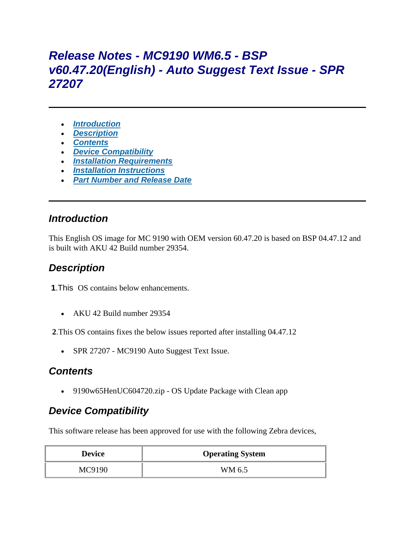# *Release Notes - MC9190 WM6.5 - BSP v60.47.20(English) - Auto Suggest Text Issue - SPR 27207*

- *[Introduction](https://atgsupportcentral.motorolasolutions.com/content/emb/docs/ReleaseNotes/Release_Notes_-_MC9190_WM6.5_-_BSP_v60.47.20(English)_-_Auto_Suggest_Text_Issue_-_SPR_27207.htm#Div1)*
- *[Description](https://atgsupportcentral.motorolasolutions.com/content/emb/docs/ReleaseNotes/Release_Notes_-_MC9190_WM6.5_-_BSP_v60.47.20(English)_-_Auto_Suggest_Text_Issue_-_SPR_27207.htm#Div2)*
- *[Contents](https://atgsupportcentral.motorolasolutions.com/content/emb/docs/ReleaseNotes/Release_Notes_-_MC9190_WM6.5_-_BSP_v60.47.20(English)_-_Auto_Suggest_Text_Issue_-_SPR_27207.htm#Div3)*
- *[Device Compatibility](https://atgsupportcentral.motorolasolutions.com/content/emb/docs/ReleaseNotes/Release_Notes_-_MC9190_WM6.5_-_BSP_v60.47.20(English)_-_Auto_Suggest_Text_Issue_-_SPR_27207.htm#Div4)*
- *[Installation Requirements](https://atgsupportcentral.motorolasolutions.com/content/emb/docs/ReleaseNotes/Release_Notes_-_MC9190_WM6.5_-_BSP_v60.47.20(English)_-_Auto_Suggest_Text_Issue_-_SPR_27207.htm#Div5)*
- *[Installation Instructions](https://atgsupportcentral.motorolasolutions.com/content/emb/docs/ReleaseNotes/Release_Notes_-_MC9190_WM6.5_-_BSP_v60.47.20(English)_-_Auto_Suggest_Text_Issue_-_SPR_27207.htm#Div6)*
- *[Part Number and Release Date](https://atgsupportcentral.motorolasolutions.com/content/emb/docs/ReleaseNotes/Release_Notes_-_MC9190_WM6.5_-_BSP_v60.47.20(English)_-_Auto_Suggest_Text_Issue_-_SPR_27207.htm#Div7)*

#### *Introduction*

This English OS image for MC 9190 with OEM version 60.47.20 is based on BSP 04.47.12 and is built with AKU 42 Build number 29354.

# *Description*

**1**.This OS contains below enhancements.

AKU 42 Build number 29354

**2**.This OS contains fixes the below issues reported after installing 04.47.12

• SPR 27207 - MC9190 Auto Suggest Text Issue.

# *Contents*

9190w65HenUC604720.zip - OS Update Package with Clean app

# *Device Compatibility*

This software release has been approved for use with the following Zebra devices,

| <b>Device</b> | <b>Operating System</b> |
|---------------|-------------------------|
| MC9190        | WM 6.5                  |